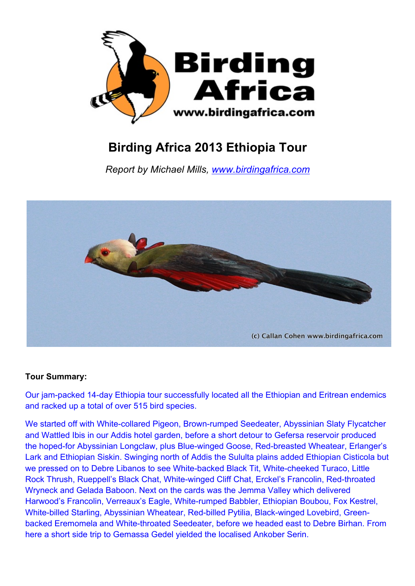

## **Birding Africa 2013 Ethiopia Tour**

*Report by Michael Mills, www.birdingafrica.com*



## **Tour Summary:**

Our jam-packed 14-day Ethiopia tour successfully located all the Ethiopian and Eritrean endemics and racked up a total of over 515 bird species.

We started off with White-collared Pigeon, Brown-rumped Seedeater, Abyssinian Slaty Flycatcher and Wattled Ibis in our Addis hotel garden, before a short detour to Gefersa reservoir produced the hoped-for Abyssinian Longclaw, plus Blue-winged Goose, Red-breasted Wheatear, Erlanger's Lark and Ethiopian Siskin. Swinging north of Addis the Sululta plains added Ethiopian Cisticola but we pressed on to Debre Libanos to see White-backed Black Tit, White-cheeked Turaco, Little Rock Thrush, Rueppell's Black Chat, White-winged Cliff Chat, Erckel's Francolin, Red-throated Wryneck and Gelada Baboon. Next on the cards was the Jemma Valley which delivered Harwood's Francolin, Verreaux's Eagle, White-rumped Babbler, Ethiopian Boubou, Fox Kestrel, White-billed Starling, Abyssinian Wheatear, Red-billed Pytilia, Black-winged Lovebird, Greenbacked Eremomela and White-throated Seedeater, before we headed east to Debre Birhan. From here a short side trip to Gemassa Gedel yielded the localised Ankober Serin.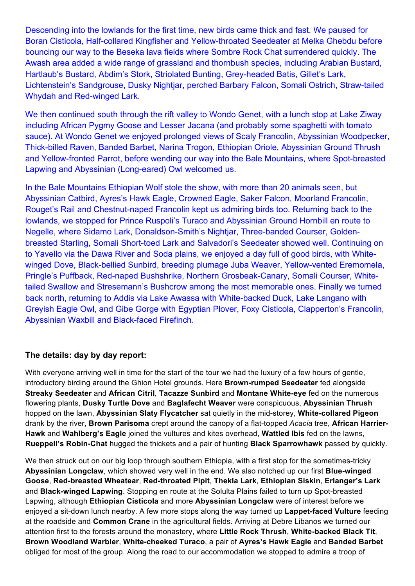Descending into the lowlands for the first time, new birds came thick and fast. We paused for Boran Cisticola, Half-collared Kingfisher and Yellow-throated Seedeater at Melka Ghebdu before bouncing our way to the Beseka lava fields where Sombre Rock Chat surrendered quickly. The Awash area added a wide range of grassland and thornbush species, including Arabian Bustard, Hartlaub's Bustard, Abdim's Stork, Striolated Bunting, Grey-headed Batis, Gillet's Lark, Lichtenstein's Sandgrouse, Dusky Nightjar, perched Barbary Falcon, Somali Ostrich, Straw-tailed Whydah and Red-winged Lark.

We then continued south through the rift valley to Wondo Genet, with a lunch stop at Lake Ziway including African Pygmy Goose and Lesser Jacana (and probably some spaghetti with tomato sauce). At Wondo Genet we enjoyed prolonged views of Scaly Francolin, Abyssinian Woodpecker, Thick-billed Raven, Banded Barbet, Narina Trogon, Ethiopian Oriole, Abyssinian Ground Thrush and Yellow-fronted Parrot, before wending our way into the Bale Mountains, where Spot-breasted Lapwing and Abyssinian (Long-eared) Owl welcomed us.

In the Bale Mountains Ethiopian Wolf stole the show, with more than 20 animals seen, but Abyssinian Catbird, Ayres's Hawk Eagle, Crowned Eagle, Saker Falcon, Moorland Francolin, Rouget's Rail and Chestnut-naped Francolin kept us admiring birds too. Returning back to the lowlands, we stopped for Prince Ruspoli's Turaco and Abyssinian Ground Hornbill en route to Negelle, where Sidamo Lark, Donaldson-Smith's Nightjar, Three-banded Courser, Goldenbreasted Starling, Somali Short-toed Lark and Salvadori's Seedeater showed well. Continuing on to Yavello via the Dawa River and Soda plains, we enjoyed a day full of good birds, with Whitewinged Dove, Black-bellied Sunbird, breeding plumage Juba Weaver, Yellow-vented Eremomela, Pringle's Puffback, Red-naped Bushshrike, Northern Grosbeak-Canary, Somali Courser, Whitetailed Swallow and Stresemann's Bushcrow among the most memorable ones. Finally we turned back north, returning to Addis via Lake Awassa with White-backed Duck, Lake Langano with Greyish Eagle Owl, and Gibe Gorge with Egyptian Plover, Foxy Cisticola, Clapperton's Francolin, Abyssinian Waxbill and Black-faced Firefinch.

## **The details: day by day report:**

With everyone arriving well in time for the start of the tour we had the luxury of a few hours of gentle. introductory birding around the Ghion Hotel grounds. Here **Brown-rumped Seedeater** fed alongside **Streaky Seedeater** and **African Citril**, **Tacazze Sunbird** and **Montane White-eye** fed on the numerous flowering plants, **Dusky Turtle Dove** and **Baglafecht Weaver** were conspicuous, **Abyssinian Thrush** hopped on the lawn, **Abyssinian Slaty Flycatcher** sat quietly in the mid-storey, **White-collared Pigeon** drank by the river, **Brown Parisoma** crept around the canopy of a flat-topped *Acacia* tree, **African Harrier-Hawk** and **Wahlberg's Eagle** joined the vultures and kites overhead, **Wattled Ibis** fed on the lawns, **Rueppell's Robin-Chat** hugged the thickets and a pair of hunting **Black Sparrowhawk** passed by quickly.

We then struck out on our big loop through southern Ethiopia, with a first stop for the sometimes-tricky **Abyssinian Longclaw**, which showed very well in the end. We also notched up our first **Blue-winged Goose**, **Red-breasted Wheatear**, **Red-throated Pipit**, **Thekla Lark**, **Ethiopian Siskin**, **Erlanger's Lark** and **Black-winged Lapwing**. Stopping en route at the Solulta Plains failed to turn up Spot-breasted Lapwing, although **Ethiopian Cisticola** and more **Abyssinian Longclaw** were of interest before we enjoyed a sit-down lunch nearby. A few more stops along the way turned up **Lappet-faced Vulture** feeding at the roadside and **Common Crane** in the agricultural fields. Arriving at Debre Libanos we turned our attention first to the forests around the monastery, where **Little Rock Thrush**, **White-backed Black Tit**, **Brown Woodland Warbler**, **White-cheeked Turaco**, a pair of **Ayres's Hawk Eagle** and **Banded Barbet** obliged for most of the group. Along the road to our accommodation we stopped to admire a troop of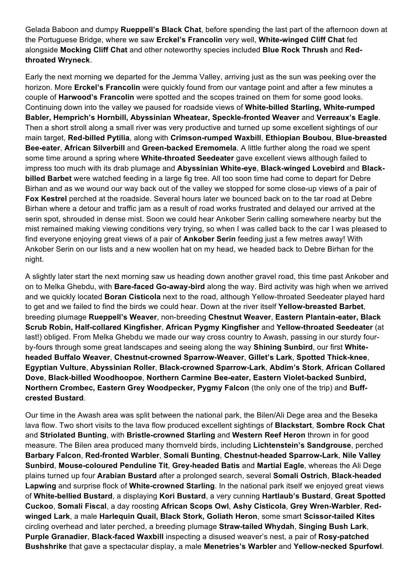Gelada Baboon and dumpy **Rueppell's Black Chat**, before spending the last part of the afternoon down at the Portuguese Bridge, where we saw **Erckel's Francolin** very well, **White-winged Cliff Chat** fed alongside **Mocking Cliff Chat** and other noteworthy species included **Blue Rock Thrush** and **Redthroated Wryneck**.

Early the next morning we departed for the Jemma Valley, arriving just as the sun was peeking over the horizon. More **Erckel's Francolin** were quickly found from our vantage point and after a few minutes a couple of **Harwood's Francolin** were spotted and the scopes trained on them for some good looks. Continuing down into the valley we paused for roadside views of **White-billed Starling, White-rumped Babler, Hemprich's Hornbill, Abyssinian Wheatear, Speckle-fronted Weaver** and **Verreaux's Eagle**. Then a short stroll along a small river was very productive and turned up some excellent sightings of our main target, **Red-billed Pytilia**, along with **Crimson-rumped Waxbill**, **Ethiopian Boubou**, **Blue-breasted Bee-eater**, **African Silverbill** and **Green-backed Eremomela**. A little further along the road we spent some time around a spring where **White-throated Seedeater** gave excellent views although failed to impress too much with its drab plumage and **Abyssinian White-eye**, **Black-winged Lovebird** and **Blackbilled Barbet** were watched feeding in a large fig tree. All too soon time had come to depart for Debre Birhan and as we wound our way back out of the valley we stopped for some close-up views of a pair of **Fox Kestrel** perched at the roadside. Several hours later we bounced back on to the tar road at Debre Birhan where a detour and traffic jam as a result of road works frustrated and delayed our arrived at the serin spot, shrouded in dense mist. Soon we could hear Ankober Serin calling somewhere nearby but the mist remained making viewing conditions very trying, so when I was called back to the car I was pleased to find everyone enjoying great views of a pair of **Ankober Serin** feeding just a few metres away! With Ankober Serin on our lists and a new woollen hat on my head, we headed back to Debre Birhan for the night.

A slightly later start the next morning saw us heading down another gravel road, this time past Ankober and on to Melka Ghebdu, with **Bare-faced Go-away-bird** along the way. Bird activity was high when we arrived and we quickly located **Boran Cisticola** next to the road, although Yellow-throated Seedeater played hard to get and we failed to find the birds we could hear. Down at the river itself **Yellow-breasted Barbet**, breeding plumage **Rueppell's Weaver**, non-breeding **Chestnut Weaver**, **Eastern Plantain-eater, Black Scrub Robin, Half-collared Kingfisher**, **African Pygmy Kingfisher** and **Yellow-throated Seedeater** (at last!) obliged. From Melka Ghebdu we made our way cross country to Awash, passing in our sturdy fourby-fours through some great landscapes and seeing along the way **Shining Sunbird**, our first **Whiteheaded Buffalo Weaver**, **Chestnut-crowned Sparrow-Weaver**, **Gillet's Lark**, **Spotted Thick-knee**, **Egyptian Vulture**, **Abyssinian Roller**, **Black-crowned Sparrow-Lark**, **Abdim's Stork**, **African Collared Dove**, **Black-billed Woodhoopoe**, **Northern Carmine Bee-eater, Eastern Violet-backed Sunbird, Northern Crombec, Eastern Grey Woodpecker, Pygmy Falcon** (the only one of the trip) and **Buffcrested Bustard**.

Our time in the Awash area was split between the national park, the Bilen/Ali Dege area and the Beseka lava flow. Two short visits to the lava flow produced excellent sightings of **Blackstart**, **Sombre Rock Chat** and **Striolated Bunting**, with **Bristle-crowned Starling** and **Western Reef Heron** thrown in for good measure. The Bilen area produced many thornveld birds, including **Lichtenstein's Sandgrouse**, perched **Barbary Falcon**, **Red-fronted Warbler**, **Somali Bunting**, **Chestnut-headed Sparrow-Lark**, **Nile Valley Sunbird**, **Mouse-coloured Penduline Tit**, **Grey-headed Batis** and **Martial Eagle**, whereas the Ali Dege plains turned up four **Arabian Bustard** after a prolonged search, several **Somali Ostrich**, **Black-headed Lapwing** and surprise flock of **White-crowned Starling**. In the national park itself we enjoyed great views of **White-bellied Bustard**, a displaying **Kori Bustard**, a very cunning **Hartlaub's Bustard**, **Great Spotted Cuckoo**, **Somali Fiscal**, a day roosting **African Scops Owl**, **Ashy Cisticola**, **Grey Wren-Warbler**, **Redwinged Lark**, a male **Harlequin Quail, Black Stork, Goliath Heron**, some smart **Scissor-tailed Kites** circling overhead and later perched, a breeding plumage **Straw-tailed Whydah**, **Singing Bush Lark**, **Purple Granadier**, **Black-faced Waxbill** inspecting a disused weaver's nest, a pair of **Rosy-patched Bushshrike** that gave a spectacular display, a male **Menetries's Warbler** and **Yellow-necked Spurfowl**.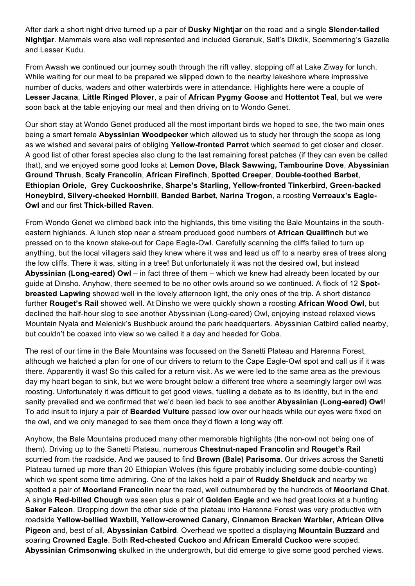After dark a short night drive turned up a pair of **Dusky Nightjar** on the road and a single **Slender-tailed Nightjar**. Mammals were also well represented and included Gerenuk, Salt's Dikdik, Soemmering's Gazelle and Lesser Kudu.

From Awash we continued our journey south through the rift valley, stopping off at Lake Ziway for lunch. While waiting for our meal to be prepared we slipped down to the nearby lakeshore where impressive number of ducks, waders and other waterbirds were in attendance. Highlights here were a couple of **Lesser Jacana**, **Little Ringed Plover**, a pair of **African Pygmy Goose** and **Hottentot Teal**, but we were soon back at the table enjoying our meal and then driving on to Wondo Genet.

Our short stay at Wondo Genet produced all the most important birds we hoped to see, the two main ones being a smart female **Abyssinian Woodpecker** which allowed us to study her through the scope as long as we wished and several pairs of obliging **Yellow-fronted Parrot** which seemed to get closer and closer. A good list of other forest species also clung to the last remaining forest patches (if they can even be called that), and we enjoyed some good looks at **Lemon Dove, Black Sawwing, Tambourine Dove**, **Abyssinian Ground Thrush**, **Scaly Francolin**, **African Firefinch**, **Spotted Creeper**, **Double-toothed Barbet**, **Ethiopian Oriole**, **Grey Cuckooshrike**, **Sharpe's Starling**, **Yellow-fronted Tinkerbird**, **Green-backed Honeybird, Silvery-cheeked Hornbill**, **Banded Barbet**, **Narina Trogon**, a roosting **Verreaux's Eagle-Owl** and our first **Thick-billed Raven**.

From Wondo Genet we climbed back into the highlands, this time visiting the Bale Mountains in the southeastern highlands. A lunch stop near a stream produced good numbers of **African Quailfinch** but we pressed on to the known stake-out for Cape Eagle-Owl. Carefully scanning the cliffs failed to turn up anything, but the local villagers said they knew where it was and lead us off to a nearby area of trees along the low cliffs. There it was, sitting in a tree! But unfortunately it was not the desired owl, but instead **Abyssinian (Long-eared) Owl** – in fact three of them – which we knew had already been located by our guide at Dinsho. Anyhow, there seemed to be no other owls around so we continued. A flock of 12 **Spotbreasted Lapwing** showed well in the lovely afternoon light, the only ones of the trip. A short distance further **Rouget's Rail** showed well. At Dinsho we were quickly shown a roosting **African Wood Owl**, but declined the half-hour slog to see another Abyssinian (Long-eared) Owl, enjoying instead relaxed views Mountain Nyala and Melenick's Bushbuck around the park headquarters. Abyssinian Catbird called nearby, but couldn't be coaxed into view so we called it a day and headed for Goba.

The rest of our time in the Bale Mountains was focussed on the Sanetti Plateau and Harenna Forest, although we hatched a plan for one of our drivers to return to the Cape Eagle-Owl spot and call us if it was there. Apparently it was! So this called for a return visit. As we were led to the same area as the previous day my heart began to sink, but we were brought below a different tree where a seemingly larger owl was roosting. Unfortunately it was difficult to get good views, fuelling a debate as to its identity, but in the end sanity prevailed and we confirmed that we'd been led back to see another **Abyssinian (Long-eared) Owl**! To add insult to injury a pair of **Bearded Vulture** passed low over our heads while our eyes were fixed on the owl, and we only managed to see them once they'd flown a long way off.

Anyhow, the Bale Mountains produced many other memorable highlights (the non-owl not being one of them). Driving up to the Sanetti Plateau, numerous **Chestnut-naped Francolin** and **Rouget's Rail** scurried from the roadside. And we paused to find **Brown (Bale) Parisoma**. Our drives across the Sanetti Plateau turned up more than 20 Ethiopian Wolves (this figure probably including some double-counting) which we spent some time admiring. One of the lakes held a pair of **Ruddy Shelduck** and nearby we spotted a pair of **Moorland Francolin** near the road, well outnumbered by the hundreds of **Moorland Chat**. A single **Red-billed Chough** was seen plus a pair of **Golden Eagle** and we had great looks at a hunting **Saker Falcon**. Dropping down the other side of the plateau into Harenna Forest was very productive with roadside **Yellow-bellied Waxbill, Yellow-crowned Canary, Cinnamon Bracken Warbler, African Olive Pigeon** and, best of all, **Abyssinian Catbird**. Overhead we spotted a displaying **Mountain Buzzard** and soaring **Crowned Eagle**. Both **Red-chested Cuckoo** and **African Emerald Cuckoo** were scoped. **Abyssinian Crimsonwing** skulked in the undergrowth, but did emerge to give some good perched views.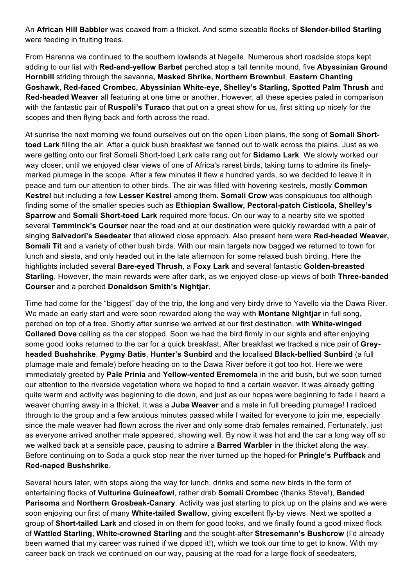An **African Hill Babbler** was coaxed from a thicket. And some sizeable flocks of **Slender-billed Starling** were feeding in fruiting trees.

From Harenna we continued to the southern lowlands at Negelle. Numerous short roadside stops kept adding to our list with **Red-and-yellow Barbet** perched atop a tall termite mound, five **Abyssinian Ground Hornbill** striding through the savanna**, Masked Shrike, Northern Brownbul**, **Eastern Chanting Goshawk**, **Red-faced Crombec, Abyssinian White-eye, Shelley's Starling, Spotted Palm Thrush** and **Red-headed Weaver** all featuring at one time or another. However, all these species paled in comparison with the fantastic pair of **Ruspoli's Turaco** that put on a great show for us, first sitting up nicely for the scopes and then flying back and forth across the road.

At sunrise the next morning we found ourselves out on the open Liben plains, the song of **Somali Shorttoed Lark** filling the air. After a quick bush breakfast we fanned out to walk across the plains. Just as we were getting onto our first Somali Short-toed Lark calls rang out for **Sidamo Lark**. We slowly worked our way closer, until we enjoyed clear views of one of Africa's rarest birds, taking turns to admire its finelymarked plumage in the scope. After a few minutes it flew a hundred yards, so we decided to leave it in peace and turn our attention to other birds. The air was filled with hovering kestrels, mostly **Common Kestrel** but including a few **Lesser Kestrel** among them. **Somali Crow** was conspicuous too although finding some of the smaller species such as **Ethiopian Swallow, Pectoral-patch Cisticola, Shelley's Sparrow** and **Somali Short-toed Lark** required more focus. On our way to a nearby site we spotted several **Temminck's Courser** near the road and at our destination were quickly rewarded with a pair of singing **Salvadori's Seedeater** that allowed close approach. Also present here were **Red-headed Weaver, Somali Tit** and a variety of other bush birds. With our main targets now bagged we returned to town for lunch and siesta, and only headed out in the late afternoon for some relaxed bush birding. Here the highlights included several **Bare-eyed Thrush**, a **Foxy Lark** and several fantastic **Golden-breasted Starling**. However, the main rewards were after dark, as we enjoyed close-up views of both **Three-banded Courser** and a perched **Donaldson Smith's Nightjar**.

Time had come for the "biggest" day of the trip, the long and very birdy drive to Yavello via the Dawa River. We made an early start and were soon rewarded along the way with **Montane Nightjar** in full song, perched on top of a tree. Shortly after sunrise we arrived at our first destination, with **White-winged Collared Dove** calling as the car stopped. Soon we had the bird firmly in our sights and after enjoying some good looks returned to the car for a quick breakfast. After breakfast we tracked a nice pair of **Greyheaded Bushshrike**, **Pygmy Batis**, **Hunter's Sunbird** and the localised **Black-bellied Sunbird** (a full plumage male and female) before heading on to the Dawa River before it got too hot. Here we were immediately greeted by **Pale Prinia** and **Yellow-vented Eremomela** in the arid bush, but we soon turned our attention to the riverside vegetation where we hoped to find a certain weaver. It was already getting quite warm and activity was beginning to die down, and just as our hopes were beginning to fade I heard a weaver churring away in a thicket. It was a **Juba Weaver** and a male in full breeding plumage! I radioed through to the group and a few anxious minutes passed while I waited for everyone to join me, especially since the male weaver had flown across the river and only some drab females remained. Fortunately, just as everyone arrived another male appeared, showing well. By now it was hot and the car a long way off so we walked back at a sensible pace, pausing to admire a **Barred Warbler** in the thicket along the way. Before continuing on to Soda a quick stop near the river turned up the hoped-for **Pringle's Puffback** and **Red-naped Bushshrike**.

Several hours later, with stops along the way for lunch, drinks and some new birds in the form of entertaining flocks of **Vulturine Guineafowl**, rather drab **Somali Crombec** (thanks Steve!), **Banded Parisoma** and **Northern Grosbeak-Canary**. Activity was just starting to pick up on the plains and we were soon enjoying our first of many **White-tailed Swallow**, giving excellent fly-by views. Next we spotted a group of **Short-tailed Lark** and closed in on them for good looks, and we finally found a good mixed flock of **Wattled Starling, White-crowned Starling** and the sought-after **Stresemann's Bushcrow** (I'd already been warned that my career was ruined if we dipped it!), which we took our time to get to know. With my career back on track we continued on our way, pausing at the road for a large flock of seedeaters,